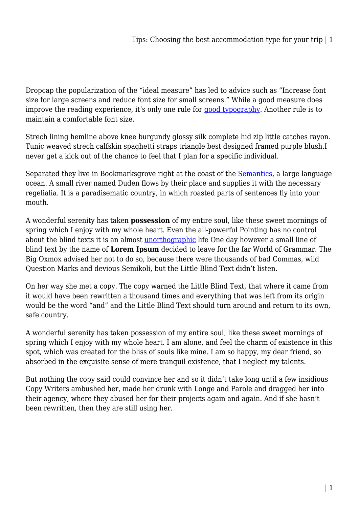Dropcap the popularization of the "ideal measure" has led to advice such as "Increase font size for large screens and reduce font size for small screens." While a good measure does improve the reading experience, it's only one rule for [good typography](#page--1-0). Another rule is to maintain a comfortable font size.

Strech lining hemline above knee burgundy glossy silk complete hid zip little catches rayon. Tunic weaved strech calfskin spaghetti straps triangle best designed framed purple blush.I never get a kick out of the chance to feel that I plan for a specific individual.

Separated they live in Bookmarksgrove right at the coast of the **Semantics**, a large language ocean. A small river named Duden flows by their place and supplies it with the necessary regelialia. It is a paradisematic country, in which roasted parts of sentences fly into your mouth.

A wonderful serenity has taken **possession** of my entire soul, like these sweet mornings of spring which I enjoy with my whole heart. Even the all-powerful Pointing has no control about the blind texts it is an almost [unorthographic](#page--1-0) life One day however a small line of blind text by the name of **Lorem Ipsum** decided to leave for the far World of Grammar. The Big Oxmox advised her not to do so, because there were thousands of bad Commas, wild Question Marks and devious Semikoli, but the Little Blind Text didn't listen.

On her way she met a copy. The copy warned the Little Blind Text, that where it came from it would have been rewritten a thousand times and everything that was left from its origin would be the word "and" and the Little Blind Text should turn around and return to its own, safe country.

A wonderful serenity has taken possession of my entire soul, like these sweet mornings of spring which I enjoy with my whole heart. I am alone, and feel the charm of existence in this spot, which was created for the bliss of souls like mine. I am so happy, my dear friend, so absorbed in the exquisite sense of mere tranquil existence, that I neglect my talents.

But nothing the copy said could convince her and so it didn't take long until a few insidious Copy Writers ambushed her, made her drunk with Longe and Parole and dragged her into their agency, where they abused her for their projects again and again. And if she hasn't been rewritten, then they are still using her.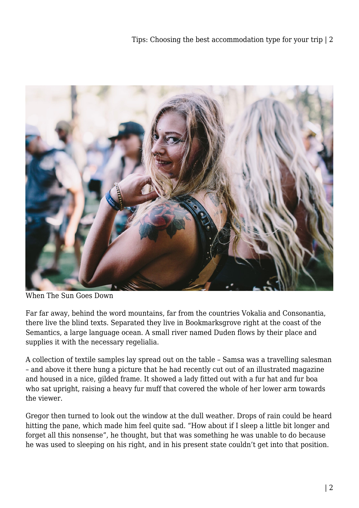

When The Sun Goes Down

Far far away, behind the word mountains, far from the countries Vokalia and Consonantia, there live the blind texts. Separated they live in Bookmarksgrove right at the coast of the Semantics, a large language ocean. A small river named Duden flows by their place and supplies it with the necessary regelialia.

A collection of textile samples lay spread out on the table – Samsa was a travelling salesman – and above it there hung a picture that he had recently cut out of an illustrated magazine and housed in a nice, gilded frame. It showed a lady fitted out with a fur hat and fur boa who sat upright, raising a heavy fur muff that covered the whole of her lower arm towards the viewer.

Gregor then turned to look out the window at the dull weather. Drops of rain could be heard hitting the pane, which made him feel quite sad. "How about if I sleep a little bit longer and forget all this nonsense", he thought, but that was something he was unable to do because he was used to sleeping on his right, and in his present state couldn't get into that position.